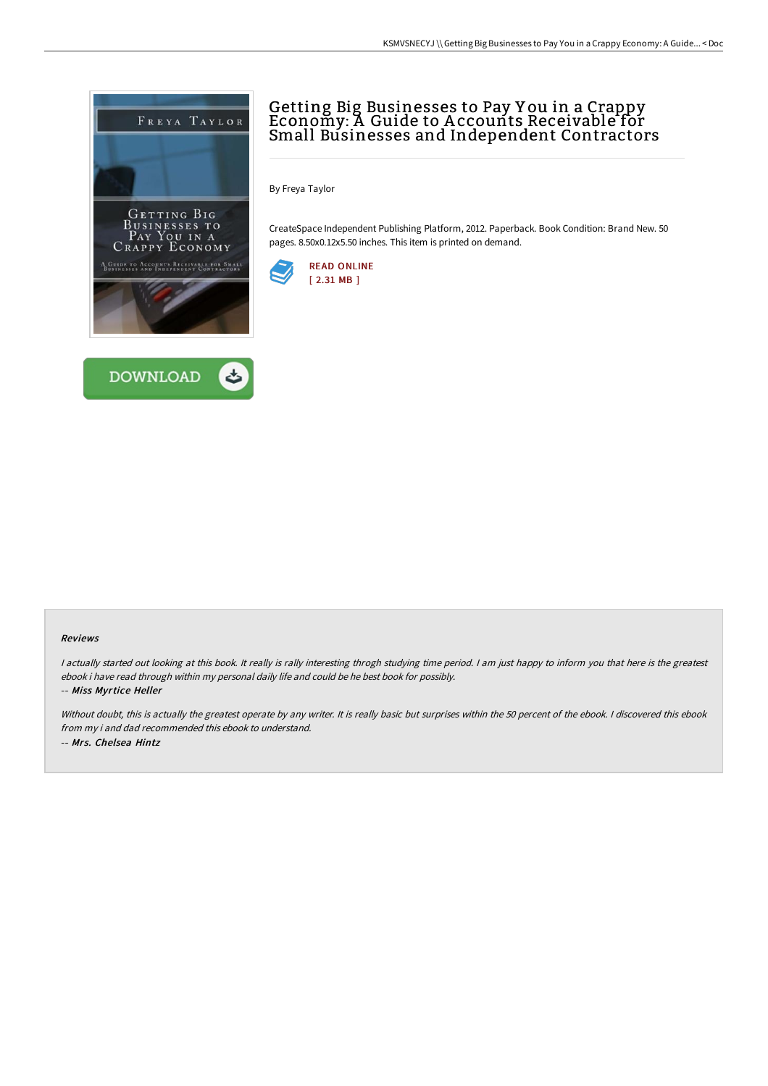

## Getting Big Businesses to Pay Y ou in a Crappy Economy: A Guide to A ccounts Receivable for Small Businesses and Independent Contractors

By Freya Taylor

CreateSpace Independent Publishing Platform, 2012. Paperback. Book Condition: Brand New. 50 pages. 8.50x0.12x5.50 inches. This item is printed on demand.



### Reviews

I actually started out looking at this book. It really is rally interesting throgh studying time period. I am just happy to inform you that here is the greatest ebook i have read through within my personal daily life and could be he best book for possibly.

-- Miss Myrtice Heller

Without doubt, this is actually the greatest operate by any writer. It is really basic but surprises within the 50 percent of the ebook. I discovered this ebook from my i and dad recommended this ebook to understand. -- Mrs. Chelsea Hintz